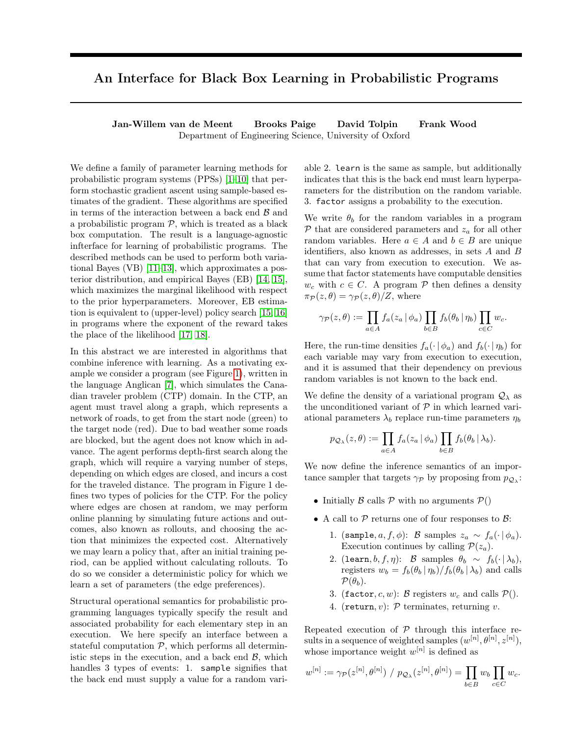## An Interface for Black Box Learning in Probabilistic Programs

Jan-Willem van de Meent Brooks Paige David Tolpin Frank Wood Department of Engineering Science, University of Oxford

We define a family of parameter learning methods for probabilistic program systems (PPSs) [\[1–](#page-2-0)[10\]](#page-2-1) that perform stochastic gradient ascent using sample-based estimates of the gradient. These algorithms are specified in terms of the interaction between a back end  $\mathcal B$  and a probabilistic program  $P$ , which is treated as a black box computation. The result is a language-agnostic infterface for learning of probabilistic programs. The described methods can be used to perform both variational Bayes (VB) [\[11–](#page-2-2)[13\]](#page-2-3), which approximates a posterior distribution, and empirical Bayes (EB) [\[14,](#page-2-4) [15\]](#page-2-5), which maximizes the marginal likelihood with respect to the prior hyperparameters. Moreover, EB estimation is equivalent to (upper-level) policy search [\[15,](#page-2-5) [16\]](#page-2-6) in programs where the exponent of the reward takes the place of the likelihood [\[17,](#page-2-7) [18\]](#page-2-8).

In this abstract we are interested in algorithms that combine inference with learning. As a motivating example we consider a program (see Figure [1\)](#page-1-0), written in the language Anglican [\[7\]](#page-2-9), which simulates the Canadian traveler problem (CTP) domain. In the CTP, an agent must travel along a graph, which represents a network of roads, to get from the start node (green) to the target node (red). Due to bad weather some roads are blocked, but the agent does not know which in advance. The agent performs depth-first search along the graph, which will require a varying number of steps, depending on which edges are closed, and incurs a cost for the traveled distance. The program in Figure 1 defines two types of policies for the CTP. For the policy where edges are chosen at random, we may perform online planning by simulating future actions and outcomes, also known as rollouts, and choosing the action that minimizes the expected cost. Alternatively we may learn a policy that, after an initial training period, can be applied without calculating rollouts. To do so we consider a deterministic policy for which we learn a set of parameters (the edge preferences).

Structural operational semantics for probabilistic programming languages typically specify the result and associated probability for each elementary step in an execution. We here specify an interface between a stateful computation  $P$ , which performs all deterministic steps in the execution, and a back end  $\beta$ , which handles 3 types of events: 1. sample signifies that the back end must supply a value for a random vari-

able 2. learn is the same as sample, but additionally indicates that this is the back end must learn hyperparameters for the distribution on the random variable. 3. factor assigns a probability to the execution.

We write  $\theta_b$  for the random variables in a program  $P$  that are considered parameters and  $z_a$  for all other random variables. Here  $a \in A$  and  $b \in B$  are unique identifiers, also known as addresses, in sets A and B that can vary from execution to execution. We assume that factor statements have computable densities  $w_c$  with  $c \in C$ . A program  $\mathcal P$  then defines a density  $\pi_{\mathcal{P}}(z,\theta) = \gamma_{\mathcal{P}}(z,\theta)/Z$ , where

$$
\gamma_{\mathcal{P}}(z,\theta) := \prod_{a \in A} f_a(z_a | \phi_a) \prod_{b \in B} f_b(\theta_b | \eta_b) \prod_{c \in C} w_c.
$$

Here, the run-time densities  $f_a(\cdot | \phi_a)$  and  $f_b(\cdot | \eta_b)$  for each variable may vary from execution to execution, and it is assumed that their dependency on previous random variables is not known to the back end.

We define the density of a variational program  $\mathcal{Q}_{\lambda}$  as the unconditioned variant of  $P$  in which learned variational parameters  $\lambda_b$  replace run-time parameters  $\eta_b$ 

$$
p_{\mathcal{Q}_{\lambda}}(z,\theta) := \prod_{a \in A} f_a(z_a \mid \phi_a) \prod_{b \in B} f_b(\theta_b \mid \lambda_b).
$$

We now define the inference semantics of an importance sampler that targets  $\gamma_{\mathcal{P}}$  by proposing from  $p_{\mathcal{Q}_{\lambda}}$ :

- Initially B calls P with no arguments  $P()$
- A call to  $P$  returns one of four responses to  $B$ :
	- 1. (sample,  $a, f, \phi$ ): B samples  $z_a \sim f_a(\cdot | \phi_a)$ . Execution continues by calling  $\mathcal{P}(z_a)$ .
	- 2. (learn, b, f, η): B samples  $\theta_b \sim f_b(\cdot | \lambda_b)$ , registers  $w_b = f_b(\theta_b | \eta_b) / f_b(\theta_b | \lambda_b)$  and calls  $\mathcal{P}(\theta_h)$ .
	- 3. (factor, c, w): B registers  $w_c$  and calls  $\mathcal{P}()$ .
	- 4. (return,  $v$ ):  $P$  terminates, returning  $v$ .

Repeated execution of  $P$  through this interface results in a sequence of weighted samples  $(w^{[n]}, \theta^{[n]}, z^{[n]}),$ whose importance weight  $w^{[n]}$  is defined as

$$
w^{[n]} := \gamma_{\mathcal{P}}(z^{[n]}, \theta^{[n]}) / p_{\mathcal{Q}_{\lambda}}(z^{[n]}, \theta^{[n]}) = \prod_{b \in B} w_b \prod_{c \in C} w_c.
$$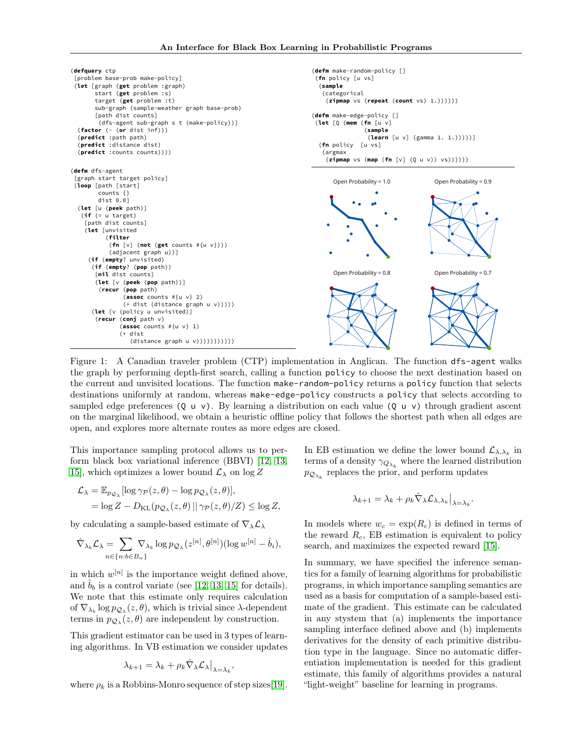<span id="page-1-0"></span>

Figure 1: A Canadian traveler problem (CTP) implementation in Anglican. The function dfs-agent walks the graph by performing depth-first search, calling a function policy to choose the next destination based on the current and unvisited locations. The function make-random-policy returns a policy function that selects destinations uniformly at random, whereas make-edge-policy constructs a policy that selects according to sampled edge preferences  $(Q \cup v)$ . By learning a distribution on each value  $(Q \cup v)$  through gradient ascent on the marginal likelihood, we obtain a heuristic offline policy that follows the shortest path when all edges are open, and explores more alternate routes as more edges are closed.

This importance sampling protocol allows us to perform black box variational inference (BBVI) [\[12,](#page-2-10) [13,](#page-2-3) 15, which optimizes a lower bound  $\mathcal{L}_{\lambda}$  on log Z

$$
\mathcal{L}_{\lambda} = \mathbb{E}_{p_{\mathcal{Q}_{\lambda}}}[\log \gamma_{\mathcal{P}}(z,\theta) - \log p_{\mathcal{Q}_{\lambda}}(z,\theta)],
$$
  
=  $\log Z - D_{\text{KL}}(p_{\mathcal{Q}_{\lambda}}(z,\theta) || \gamma_{\mathcal{P}}(z,\theta)/Z) \le \log Z,$ 

by calculating a sample-based estimate of  $\nabla_{\lambda} \mathcal{L}_{\lambda}$ 

$$
\hat{\nabla}_{\lambda_b} \mathcal{L}_{\lambda} = \sum_{n \in \{n : b \in B_n\}} \nabla_{\lambda_b} \log p_{\mathcal{Q}_{\lambda}}(z^{[n]}, \theta^{[n]}) (\log w^{[n]} - \hat{b}_i),
$$

in which  $w^{[n]}$  is the importance weight defined above, and  $\hat{b}_b$  is a control variate (see [\[12,](#page-2-10) [13,](#page-2-3) [15\]](#page-2-5) for details). We note that this estimate only requires calculation of  $\nabla_{\lambda_b} \log p_{\mathcal{Q}_{\lambda}}(z, \theta)$ , which is trivial since  $\lambda$ -dependent terms in  $p_{\mathcal{Q}_{\lambda}}(z,\theta)$  are independent by construction.

This gradient estimator can be used in 3 types of learning algorithms. In VB estimation we consider updates

$$
\lambda_{k+1} = \lambda_k + \rho_k \hat{\nabla}_{\lambda} \mathcal{L}_{\lambda} \big|_{\lambda = \lambda_k},
$$

where  $\rho_k$  is a Robbins-Monro sequence of step sizes [\[19\]](#page-2-11).

In EB estimation we define the lower bound  $\mathcal{L}_{\lambda,\lambda_k}$  in terms of a density  $\gamma_{Q_{\lambda_k}}$  where the learned distribution  $p_{\mathcal{Q}_{\lambda_k}}$  replaces the prior, and perform updates

$$
\lambda_{k+1} = \lambda_k + \rho_k \hat{\nabla}_{\lambda} \mathcal{L}_{\lambda, \lambda_k} \big|_{\lambda = \lambda_k}
$$

.

In models where  $w_c = \exp(R_c)$  is defined in terms of the reward  $R_c$ , EB estimation is equivalent to policy search, and maximizes the expected reward [\[15\]](#page-2-5).

In summary, we have specified the inference semantics for a family of learning algorithms for probabilistic programs, in which importance sampling semantics are used as a basis for computation of a sample-based estimate of the gradient. This estimate can be calculated in any stystem that (a) implements the importance sampling interface defined above and (b) implements derivatives for the density of each primitive distribution type in the language. Since no automatic differentiation implementation is needed for this gradient estimate, this family of algorithms provides a natural "light-weight" baseline for learning in programs.